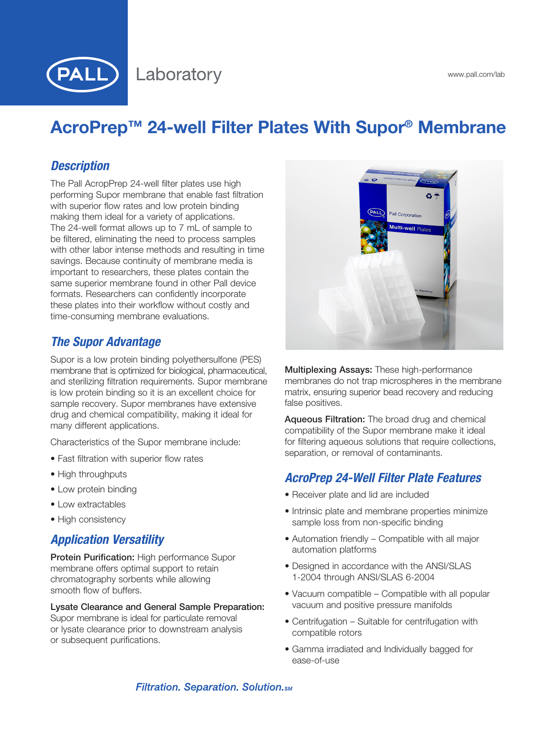

# AcroPrep™ 24-well Filter Plates With Supor® Membrane

### *Description*

The Pall AcropPrep 24-well filter plates use high performing Supor membrane that enable fast filtration with superior flow rates and low protein binding making them ideal for a variety of applications. The 24-well format allows up to 7 mL of sample to be filtered, eliminating the need to process samples with other labor intense methods and resulting in time savings. Because continuity of membrane media is important to researchers, these plates contain the same superior membrane found in other Pall device formats. Researchers can confidently incorporate these plates into their workflow without costly and time-consuming membrane evaluations.

### *The Supor Advantage*

Supor is a low protein binding polyethersulfone (PES) membrane that is optimized for biological, pharmaceutical, and sterilizing filtration requirements. Supor membrane is low protein binding so it is an excellent choice for sample recovery. Supor membranes have extensive drug and chemical compatibility, making it ideal for many different applications.

Characteristics of the Supor membrane include:

- Fast filtration with superior flow rates
- High throughputs
- Low protein binding
- Low extractables
- High consistency

### *Application Versatility*

Protein Purification: High performance Supor membrane offers optimal support to retain chromatography sorbents while allowing smooth flow of buffers.

#### Lysate Clearance and General Sample Preparation:

Supor membrane is ideal for particulate removal or lysate clearance prior to downstream analysis or subsequent purifications.



Multiplexing Assays: These high-performance membranes do not trap microspheres in the membrane matrix, ensuring superior bead recovery and reducing false positives.

Aqueous Filtration: The broad drug and chemical compatibility of the Supor membrane make it ideal for filtering aqueous solutions that require collections, separation, or removal of contaminants.

### *AcroPrep 24-Well Filter Plate Features*

- Receiver plate and lid are included
- Intrinsic plate and membrane properties minimize sample loss from non-specific binding
- Automation friendly Compatible with all major automation platforms
- Designed in accordance with the ANSI/SLAS 1-2004 through ANSI/SLAS 6-2004
- Vacuum compatible Compatible with all popular vacuum and positive pressure manifolds
- Centrifugation Suitable for centrifugation with compatible rotors
- Gamma irradiated and Individually bagged for ease-of-use